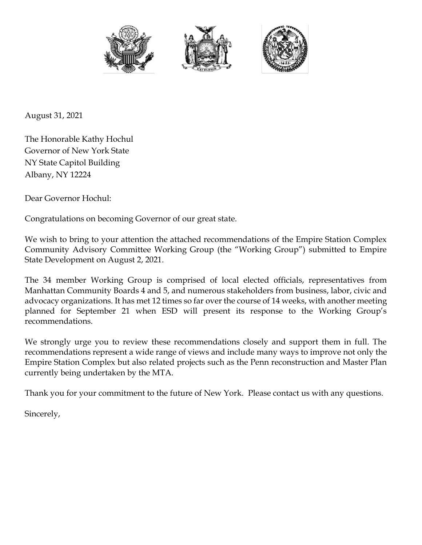





August 31, 2021

The Honorable Kathy Hochul Governor of New York State NY State Capitol Building Albany, NY 12224

Dear Governor Hochul:

Congratulations on becoming Governor of our great state.

We wish to bring to your attention the attached recommendations of the Empire Station Complex Community Advisory Committee Working Group (the "Working Group") submitted to Empire State Development on August 2, 2021.

The 34 member Working Group is comprised of local elected officials, representatives from Manhattan Community Boards 4 and 5, and numerous stakeholders from business, labor, civic and advocacy organizations. It has met 12 times so far over the course of 14 weeks, with another meeting planned for September 21 when ESD will present its response to the Working Group's recommendations.

We strongly urge you to review these recommendations closely and support them in full. The recommendations represent a wide range of views and include many ways to improve not only the Empire Station Complex but also related projects such as the Penn reconstruction and Master Plan currently being undertaken by the MTA.

Thank you for your commitment to the future of New York. Please contact us with any questions.

Sincerely,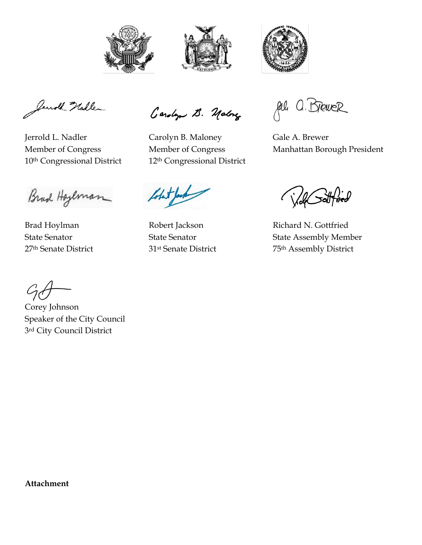





Jenoth Nadler

Brad Hoyeman

Brad Hoylman **Robert Jackson** Richard N. Gottfried

Carolyn B. Malong

Jerrold L. Nadler Carolyn B. Maloney Gale A. Brewer 10<sup>th</sup> Congressional District 12<sup>th</sup> Congressional District

Jal a. Brewer

Member of Congress Member of Congress Manhattan Borough President

State Senator State Senator State Assembly Member 27<sup>th</sup> Senate District 31<sup>st</sup> Senate District 75<sup>th</sup> Assembly District

Corey Johnson Speaker of the City Council 3rd City Council District

**Attachment**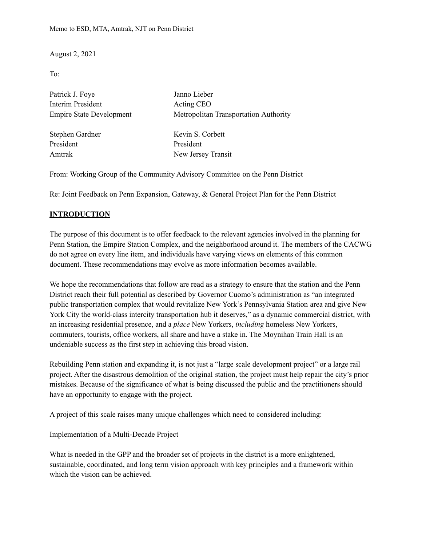August 2, 2021

To:

| Patrick J. Foye                 | Janno Lieber                          |
|---------------------------------|---------------------------------------|
| Interim President               | Acting CEO                            |
| <b>Empire State Development</b> | Metropolitan Transportation Authority |
|                                 |                                       |
| Stephen Gardner                 | Kevin S. Corbett                      |
| President                       | President                             |
| Amtrak                          | New Jersey Transit                    |
|                                 |                                       |

From: Working Group of the Community Advisory Committee on the Penn District

Re: Joint Feedback on Penn Expansion, Gateway, & General Project Plan for the Penn District

### **INTRODUCTION**

The purpose of this document is to offer feedback to the relevant agencies involved in the planning for Penn Station, the Empire Station Complex, and the neighborhood around it. The members of the CACWG do not agree on every line item, and individuals have varying views on elements of this common document. These recommendations may evolve as more information becomes available.

We hope the recommendations that follow are read as a strategy to ensure that the station and the Penn District reach their full potential as described by Governor Cuomo's administration as "an integrated public transportation complex that would revitalize New York's Pennsylvania Station area and give New York City the world-class intercity transportation hub it deserves," as a dynamic commercial district, with an increasing residential presence, and a *place* New Yorkers, *including* homeless New Yorkers, commuters, tourists, office workers, all share and have a stake in. The Moynihan Train Hall is an undeniable success as the first step in achieving this broad vision.

Rebuilding Penn station and expanding it, is not just a "large scale development project" or a large rail project. After the disastrous demolition of the original station, the project must help repair the city's prior mistakes. Because of the significance of what is being discussed the public and the practitioners should have an opportunity to engage with the project.

A project of this scale raises many unique challenges which need to considered including:

#### Implementation of a Multi-Decade Project

What is needed in the GPP and the broader set of projects in the district is a more enlightened, sustainable, coordinated, and long term vision approach with key principles and a framework within which the vision can be achieved.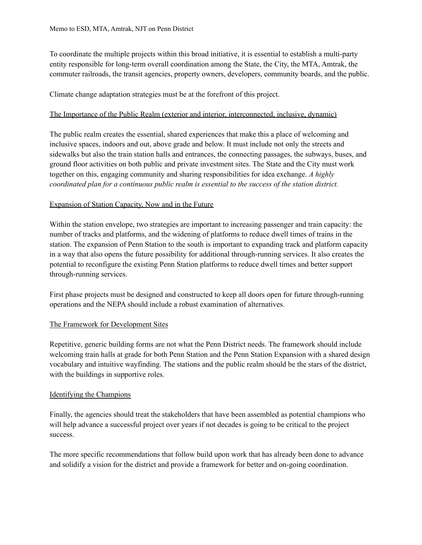To coordinate the multiple projects within this broad initiative, it is essential to establish a multi-party entity responsible for long-term overall coordination among the State, the City, the MTA, Amtrak, the commuter railroads, the transit agencies, property owners, developers, community boards, and the public.

Climate change adaptation strategies must be at the forefront of this project.

### The Importance of the Public Realm (exterior and interior, interconnected, inclusive, dynamic)

The public realm creates the essential, shared experiences that make this a place of welcoming and inclusive spaces, indoors and out, above grade and below. It must include not only the streets and sidewalks but also the train station halls and entrances, the connecting passages, the subways, buses, and ground floor activities on both public and private investment sites. The State and the City must work together on this, engaging community and sharing responsibilities for idea exchange. *A highly coordinated plan for a continuous public realm is essential to the success of the station district.*

# Expansion of Station Capacity, Now and in the Future

Within the station envelope, two strategies are important to increasing passenger and train capacity: the number of tracks and platforms, and the widening of platforms to reduce dwell times of trains in the station. The expansion of Penn Station to the south is important to expanding track and platform capacity in a way that also opens the future possibility for additional through-running services. It also creates the potential to reconfigure the existing Penn Station platforms to reduce dwell times and better support through-running services.

First phase projects must be designed and constructed to keep all doors open for future through-running operations and the NEPA should include a robust examination of alternatives.

# The Framework for Development Sites

Repetitive, generic building forms are not what the Penn District needs. The framework should include welcoming train halls at grade for both Penn Station and the Penn Station Expansion with a shared design vocabulary and intuitive wayfinding. The stations and the public realm should be the stars of the district, with the buildings in supportive roles.

### Identifying the Champions

Finally, the agencies should treat the stakeholders that have been assembled as potential champions who will help advance a successful project over years if not decades is going to be critical to the project success.

The more specific recommendations that follow build upon work that has already been done to advance and solidify a vision for the district and provide a framework for better and on-going coordination.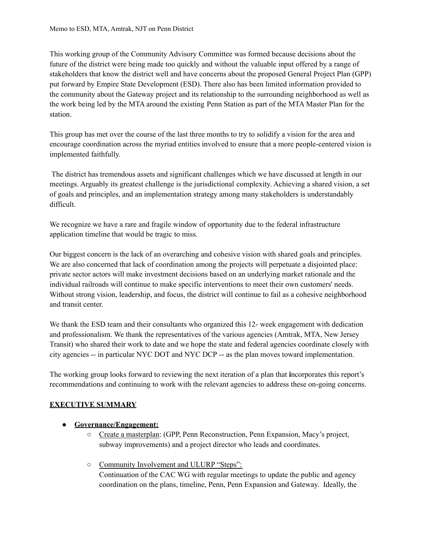This working group of the Community Advisory Committee was formed because decisions about the future of the district were being made too quickly and without the valuable input offered by a range of stakeholders that know the district well and have concerns about the proposed General Project Plan (GPP) put forward by Empire State Development (ESD). There also has been limited information provided to the community about the Gateway project and its relationship to the surrounding neighborhood as well as the work being led by the MTA around the existing Penn Station as part of the MTA Master Plan for the station.

This group has met over the course of the last three months to try to solidify a vision for the area and encourage coordination across the myriad entities involved to ensure that a more people-centered vision is implemented faithfully.

The district has tremendous assets and significant challenges which we have discussed at length in our meetings. Arguably its greatest challenge is the jurisdictional complexity. Achieving a shared vision, a set of goals and principles, and an implementation strategy among many stakeholders is understandably difficult.

We recognize we have a rare and fragile window of opportunity due to the federal infrastructure application timeline that would be tragic to miss.

Our biggest concern is the lack of an overarching and cohesive vision with shared goals and principles. We are also concerned that lack of coordination among the projects will perpetuate a disjointed place: private sector actors will make investment decisions based on an underlying market rationale and the individual railroads will continue to make specific interventions to meet their own customers' needs. Without strong vision, leadership, and focus, the district will continue to fail as a cohesive neighborhood and transit center.

We thank the ESD team and their consultants who organized this 12- week engagement with dedication and professionalism. We thank the representatives of the various agencies (Amtrak, MTA, New Jersey Transit) who shared their work to date and we hope the state and federal agencies coordinate closely with city agencies -- in particular NYC DOT and NYC DCP -- as the plan moves toward implementation.

The working group looks forward to reviewing the next iteration of a plan that **i**ncorporates this report's recommendations and continuing to work with the relevant agencies to address these on-going concerns.

# **EXECUTIVE SUMMARY**

# ● **Governance/Engagement:**

- Create a masterplan: (GPP, Penn Reconstruction, Penn Expansion, Macy's project, subway improvements) and a project director who leads and coordinates.
- Community Involvement and ULURP "Steps": Continuation of the CAC WG with regular meetings to update the public and agency coordination on the plans, timeline, Penn, Penn Expansion and Gateway. Ideally, the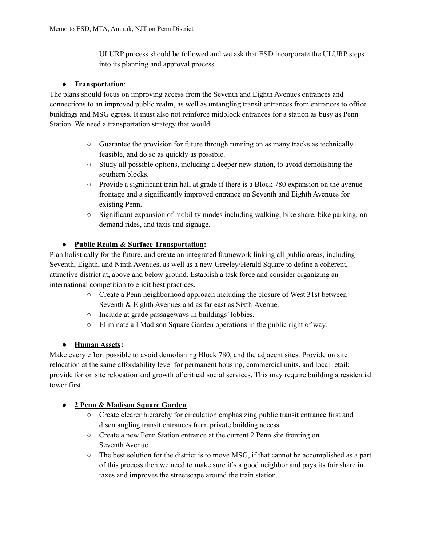ULURP process should be followed and we ask that ESD incorporate the ULURP steps into its planning and approval process.

# ● **Transportation**:

The plans should focus on improving access from the Seventh and Eighth Avenues entrances and connections to an improved public realm, as well as untangling transit entrances from entrances to office buildings and MSG egress. It must also not reinforce midblock entrances for a station as busy as Penn Station. We need a transportation strategy that would:

- $\circ$  Guarantee the provision for future through running on as many tracks as technically feasible, and do so as quickly as possible.
- $\circ$  Study all possible options, including a deeper new station, to avoid demolishing the southern blocks.
- Provide a significant train hall at grade if there is a Block 780 expansion on the avenue frontage and a significantly improved entrance on Seventh and Eighth Avenues for existing Penn.
- Significant expansion of mobility modes including walking, bike share, bike parking, on demand rides, and taxis and signage.

# ● **Public Realm & Surface Transportation:**

Plan holistically for the future, and create an integrated framework linking all public areas, including Seventh, Eighth, and Ninth Avenues, as well as a new Greeley/Herald Square to define a coherent, attractive district at, above and below ground. Establish a task force and consider organizing an international competition to elicit best practices.

- Create a Penn neighborhood approach including the closure of West 31st between Seventh & Eighth Avenues and as far east as Sixth Avenue.
- Include at grade passageways in buildings' lobbies.
- Eliminate all Madison Square Garden operations in the public right of way.

# ● **Human Assets:**

Make every effort possible to avoid demolishing Block 780, and the adjacent sites. Provide on site relocation at the same affordability level for permanent housing, commercial units, and local retail; provide for on site relocation and growth of critical social services. This may require building a residential tower first.

# ● **2 Penn & Madison Square Garden**

- Create clearer hierarchy for circulation emphasizing public transit entrance first and disentangling transit entrances from private building access.
- Create a new Penn Station entrance at the current 2 Penn site fronting on Seventh Avenue.
- $\circ$  The best solution for the district is to move MSG, if that cannot be accomplished as a part of this process then we need to make sure it's a good neighbor and pays its fair share in taxes and improves the streetscape around the train station.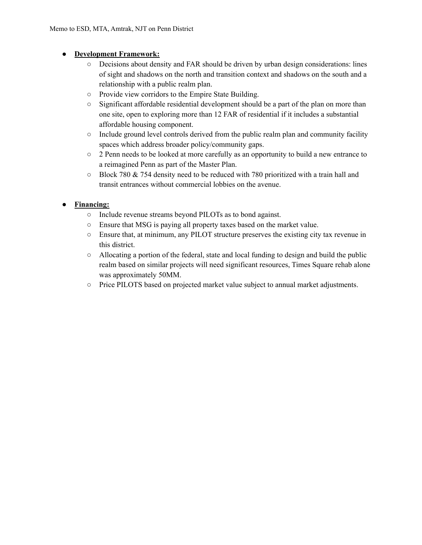# ● **Development Framework:**

- Decisions about density and FAR should be driven by urban design considerations: lines of sight and shadows on the north and transition context and shadows on the south and a relationship with a public realm plan.
- Provide view corridors to the Empire State Building.
- Significant affordable residential development should be a part of the plan on more than one site, open to exploring more than 12 FAR of residential if it includes a substantial affordable housing component.
- Include ground level controls derived from the public realm plan and community facility spaces which address broader policy/community gaps.
- 2 Penn needs to be looked at more carefully as an opportunity to build a new entrance to a reimagined Penn as part of the Master Plan.
- $\circ$  Block 780 & 754 density need to be reduced with 780 prioritized with a train hall and transit entrances without commercial lobbies on the avenue.

# **Financing:**

- Include revenue streams beyond PILOTs as to bond against.
- Ensure that MSG is paying all property taxes based on the market value.
- Ensure that, at minimum, any PILOT structure preserves the existing city tax revenue in this district.
- $\circ$  Allocating a portion of the federal, state and local funding to design and build the public realm based on similar projects will need significant resources, Times Square rehab alone was approximately 50MM.
- Price PILOTS based on projected market value subject to annual market adjustments.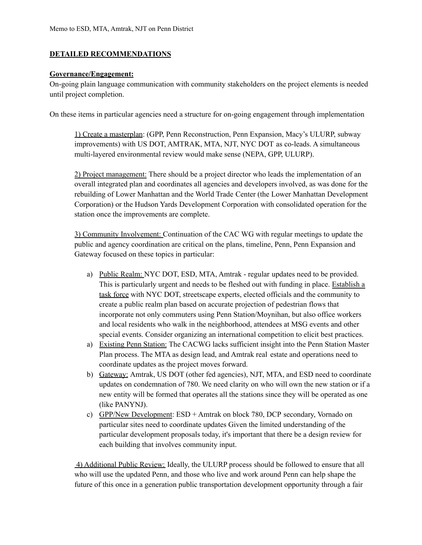#### **DETAILED RECOMMENDATIONS**

#### **Governance/Engagement:**

On-going plain language communication with community stakeholders on the project elements is needed until project completion.

On these items in particular agencies need a structure for on-going engagement through implementation

1) Create a masterplan: (GPP, Penn Reconstruction, Penn Expansion, Macy's ULURP, subway improvements) with US DOT, AMTRAK, MTA, NJT, NYC DOT as co-leads. A simultaneous multi-layered environmental review would make sense (NEPA, GPP, ULURP).

2) Project management: There should be a project director who leads the implementation of an overall integrated plan and coordinates all agencies and developers involved, as was done for the rebuilding of Lower Manhattan and the World Trade Center (the Lower Manhattan Development Corporation) or the Hudson Yards Development Corporation with consolidated operation for the station once the improvements are complete.

3) Community Involvement: Continuation of the CAC WG with regular meetings to update the public and agency coordination are critical on the plans, timeline, Penn, Penn Expansion and Gateway focused on these topics in particular:

- a) Public Realm: NYC DOT, ESD, MTA, Amtrak regular updates need to be provided. This is particularly urgent and needs to be fleshed out with funding in place. Establish a task force with NYC DOT, streetscape experts, elected officials and the community to create a public realm plan based on accurate projection of pedestrian flows that incorporate not only commuters using Penn Station/Moynihan, but also office workers and local residents who walk in the neighborhood, attendees at MSG events and other special events. Consider organizing an international competition to elicit best practices.
- a) Existing Penn Station: The CACWG lacks sufficient insight into the Penn Station Master Plan process. The MTA as design lead, and Amtrak real estate and operations need to coordinate updates as the project moves forward.
- b) Gateway: Amtrak, US DOT (other fed agencies), NJT, MTA, and ESD need to coordinate updates on condemnation of 780. We need clarity on who will own the new station or if a new entity will be formed that operates all the stations since they will be operated as one (like PANYNJ).
- c) GPP/New Development: ESD + Amtrak on block 780, DCP secondary, Vornado on particular sites need to coordinate updates Given the limited understanding of the particular development proposals today, it's important that there be a design review for each building that involves community input.

4) Additional Public Review: Ideally, the ULURP process should be followed to ensure that all who will use the updated Penn, and those who live and work around Penn can help shape the future of this once in a generation public transportation development opportunity through a fair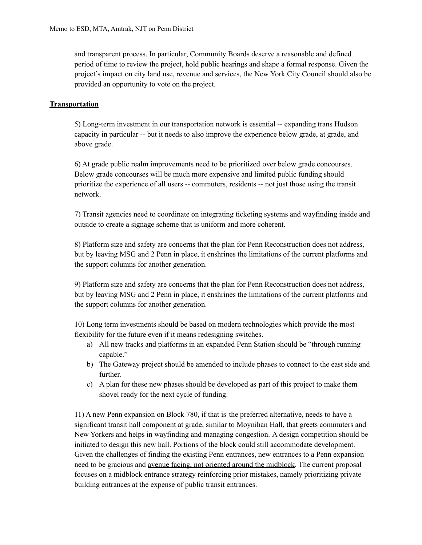and transparent process. In particular, Community Boards deserve a reasonable and defined period of time to review the project, hold public hearings and shape a formal response. Given the project's impact on city land use, revenue and services, the New York City Council should also be provided an opportunity to vote on the project.

#### **Transportation**

5) Long-term investment in our transportation network is essential -- expanding trans Hudson capacity in particular -- but it needs to also improve the experience below grade, at grade, and above grade.

6) At grade public realm improvements need to be prioritized over below grade concourses. Below grade concourses will be much more expensive and limited public funding should prioritize the experience of all users -- commuters, residents -- not just those using the transit network.

7) Transit agencies need to coordinate on integrating ticketing systems and wayfinding inside and outside to create a signage scheme that is uniform and more coherent.

8) Platform size and safety are concerns that the plan for Penn Reconstruction does not address, but by leaving MSG and 2 Penn in place, it enshrines the limitations of the current platforms and the support columns for another generation.

9) Platform size and safety are concerns that the plan for Penn Reconstruction does not address, but by leaving MSG and 2 Penn in place, it enshrines the limitations of the current platforms and the support columns for another generation.

10) Long term investments should be based on modern technologies which provide the most flexibility for the future even if it means redesigning switches.

- a) All new tracks and platforms in an expanded Penn Station should be "through running capable."
- b) The Gateway project should be amended to include phases to connect to the east side and further.
- c) A plan for these new phases should be developed as part of this project to make them shovel ready for the next cycle of funding.

11) A new Penn expansion on Block 780, if that is the preferred alternative, needs to have a significant transit hall component at grade, similar to Moynihan Hall, that greets commuters and New Yorkers and helps in wayfinding and managing congestion. A design competition should be initiated to design this new hall. Portions of the block could still accommodate development. Given the challenges of finding the existing Penn entrances, new entrances to a Penn expansion need to be gracious and avenue facing, not oriented around the midblock. The current proposal focuses on a midblock entrance strategy reinforcing prior mistakes, namely prioritizing private building entrances at the expense of public transit entrances.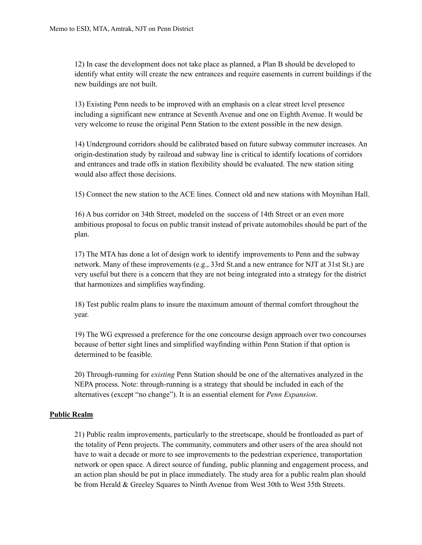12) In case the development does not take place as planned, a Plan B should be developed to identify what entity will create the new entrances and require easements in current buildings if the new buildings are not built.

13) Existing Penn needs to be improved with an emphasis on a clear street level presence including a significant new entrance at Seventh Avenue and one on Eighth Avenue. It would be very welcome to reuse the original Penn Station to the extent possible in the new design.

14) Underground corridors should be calibrated based on future subway commuter increases. An origin-destination study by railroad and subway line is critical to identify locations of corridors and entrances and trade offs in station flexibility should be evaluated. The new station siting would also affect those decisions.

15) Connect the new station to the ACE lines. Connect old and new stations with Moynihan Hall.

16) A bus corridor on 34th Street, modeled on the success of 14th Street or an even more ambitious proposal to focus on public transit instead of private automobiles should be part of the plan.

17) The MTA has done a lot of design work to identify improvements to Penn and the subway network. Many of these improvements (e.g., 33rd St.and a new entrance for NJT at 31st St.) are very useful but there is a concern that they are not being integrated into a strategy for the district that harmonizes and simplifies wayfinding.

18) Test public realm plans to insure the maximum amount of thermal comfort throughout the year.

19) The WG expressed a preference for the one concourse design approach over two concourses because of better sight lines and simplified wayfinding within Penn Station if that option is determined to be feasible.

20) Through-running for *existing* Penn Station should be one of the alternatives analyzed in the NEPA process. Note: through-running is a strategy that should be included in each of the alternatives (except "no change"). It is an essential element for *Penn Expansion*.

### **Public Realm**

21) Public realm improvements, particularly to the streetscape, should be frontloaded as part of the totality of Penn projects. The community, commuters and other users of the area should not have to wait a decade or more to see improvements to the pedestrian experience, transportation network or open space. A direct source of funding, public planning and engagement process, and an action plan should be put in place immediately. The study area for a public realm plan should be from Herald & Greeley Squares to Ninth Avenue from West 30th to West 35th Streets.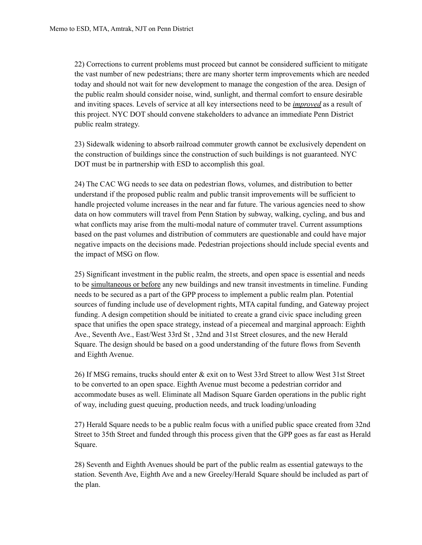22) Corrections to current problems must proceed but cannot be considered sufficient to mitigate the vast number of new pedestrians; there are many shorter term improvements which are needed today and should not wait for new development to manage the congestion of the area. Design of the public realm should consider noise, wind, sunlight, and thermal comfort to ensure desirable and inviting spaces. Levels of service at all key intersections need to be *improved* as a result of this project. NYC DOT should convene stakeholders to advance an immediate Penn District public realm strategy.

23) Sidewalk widening to absorb railroad commuter growth cannot be exclusively dependent on the construction of buildings since the construction of such buildings is not guaranteed. NYC DOT must be in partnership with ESD to accomplish this goal.

24) The CAC WG needs to see data on pedestrian flows, volumes, and distribution to better understand if the proposed public realm and public transit improvements will be sufficient to handle projected volume increases in the near and far future. The various agencies need to show data on how commuters will travel from Penn Station by subway, walking, cycling, and bus and what conflicts may arise from the multi-modal nature of commuter travel. Current assumptions based on the past volumes and distribution of commuters are questionable and could have major negative impacts on the decisions made. Pedestrian projections should include special events and the impact of MSG on flow.

25) Significant investment in the public realm, the streets, and open space is essential and needs to be simultaneous or before any new buildings and new transit investments in timeline. Funding needs to be secured as a part of the GPP process to implement a public realm plan. Potential sources of funding include use of development rights, MTA capital funding, and Gateway project funding. A design competition should be initiated to create a grand civic space including green space that unifies the open space strategy, instead of a piecemeal and marginal approach: Eighth Ave., Seventh Ave., East/West 33rd St , 32nd and 31st Street closures, and the new Herald Square. The design should be based on a good understanding of the future flows from Seventh and Eighth Avenue.

26) If MSG remains, trucks should enter & exit on to West 33rd Street to allow West 31st Street to be converted to an open space. Eighth Avenue must become a pedestrian corridor and accommodate buses as well. Eliminate all Madison Square Garden operations in the public right of way, including guest queuing, production needs, and truck loading/unloading

27) Herald Square needs to be a public realm focus with a unified public space created from 32nd Street to 35th Street and funded through this process given that the GPP goes as far east as Herald Square.

28) Seventh and Eighth Avenues should be part of the public realm as essential gateways to the station. Seventh Ave, Eighth Ave and a new Greeley/Herald Square should be included as part of the plan.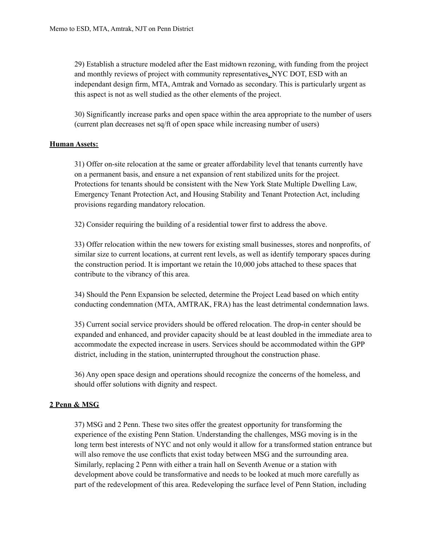29) Establish a structure modeled after the East midtown rezoning, with funding from the project and monthly reviews of project with community representatives, NYC DOT, ESD with an independant design firm, MTA, Amtrak and Vornado as secondary. This is particularly urgent as this aspect is not as well studied as the other elements of the project.

30) Significantly increase parks and open space within the area appropriate to the number of users (current plan decreases net sq/ft of open space while increasing number of users)

### **Human Assets:**

31) Offer on-site relocation at the same or greater affordability level that tenants currently have on a permanent basis, and ensure a net expansion of rent stabilized units for the project. Protections for tenants should be consistent with the New York State Multiple Dwelling Law, Emergency Tenant Protection Act, and Housing Stability and Tenant Protection Act, including provisions regarding mandatory relocation.

32) Consider requiring the building of a residential tower first to address the above.

33) Offer relocation within the new towers for existing small businesses, stores and nonprofits, of similar size to current locations, at current rent levels, as well as identify temporary spaces during the construction period. It is important we retain the 10,000 jobs attached to these spaces that contribute to the vibrancy of this area.

34) Should the Penn Expansion be selected, determine the Project Lead based on which entity conducting condemnation (MTA, AMTRAK, FRA) has the least detrimental condemnation laws.

35) Current social service providers should be offered relocation. The drop-in center should be expanded and enhanced, and provider capacity should be at least doubled in the immediate area to accommodate the expected increase in users. Services should be accommodated within the GPP district, including in the station, uninterrupted throughout the construction phase.

36) Any open space design and operations should recognize the concerns of the homeless, and should offer solutions with dignity and respect.

### **2 Penn & MSG**

37) MSG and 2 Penn. These two sites offer the greatest opportunity for transforming the experience of the existing Penn Station. Understanding the challenges, MSG moving is in the long term best interests of NYC and not only would it allow for a transformed station entrance but will also remove the use conflicts that exist today between MSG and the surrounding area. Similarly, replacing 2 Penn with either a train hall on Seventh Avenue or a station with development above could be transformative and needs to be looked at much more carefully as part of the redevelopment of this area. Redeveloping the surface level of Penn Station, including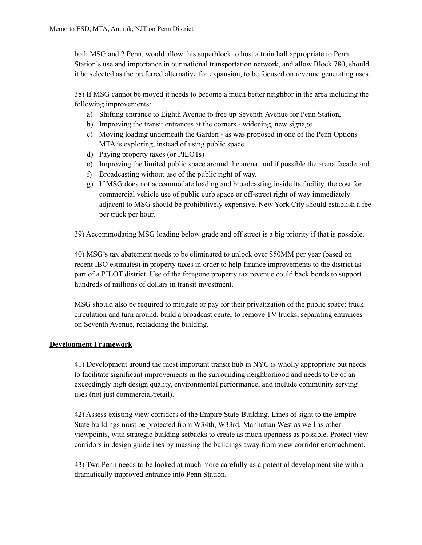both MSG and 2 Penn, would allow this superblock to host a train hall appropriate to Penn Station's use and importance in our national transportation network, and allow Block 780, should it be selected as the preferred alternative for expansion, to be focused on revenue generating uses.

38) If MSG cannot be moved it needs to become a much better neighbor in the area including the following improvements:

- a) Shifting entrance to Eighth Avenue to free up Seventh Avenue for Penn Station,
- b) Improving the transit entrances at the corners widening, new signage
- c) Moving loading underneath the Garden as was proposed in one of the Penn Options MTA is exploring, instead of using public space
- d) Paying property taxes (or PILOTs)
- e) Improving the limited public space around the arena, and if possible the arena facade.and
- f) Broadcasting without use of the public right of way.
- g) If MSG does not accommodate loading and broadcasting inside its facility, the cost for commercial vehicle use of public curb space or off-street right of way immediately adjacent to MSG should be prohibitively expensive. New York City should establish a fee per truck per hour.
- 39) Accommodating MSG loading below grade and off street is a big priority if that is possible.

40) MSG's tax abatement needs to be eliminated to unlock over \$50MM per year (based on recent IBO estimates) in property taxes in order to help finance improvements to the district as part of a PILOT district. Use of the foregone property tax revenue could back bonds to support hundreds of millions of dollars in transit investment.

MSG should also be required to mitigate or pay for their privatization of the public space: truck circulation and turn around, build a broadcast center to remove TV trucks, separating entrances on Seventh Avenue, recladding the building.

### **Development Framework**

41) Development around the most important transit hub in NYC is wholly appropriate but needs to facilitate significant improvements in the surrounding neighborhood and needs to be of an exceedingly high design quality, environmental performance, and include community serving uses (not just commercial/retail).

42) Assess existing view corridors of the Empire State Building. Lines of sight to the Empire State buildings must be protected from W34th, W33rd, Manhattan West as well as other viewpoints, with strategic building setbacks to create as much openness as possible. Protect view corridors in design guidelines by massing the buildings away from view corridor encroachment.

43) Two Penn needs to be looked at much more carefully as a potential development site with a dramatically improved entrance into Penn Station.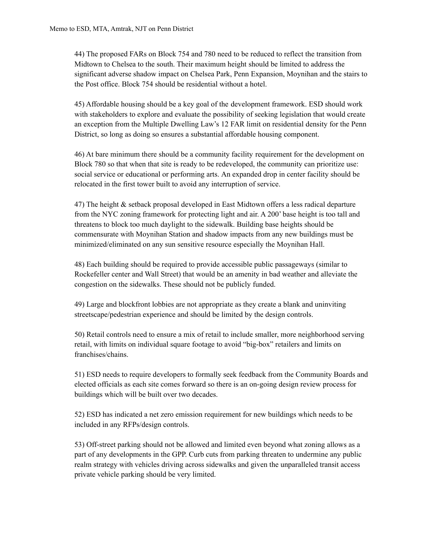44) The proposed FARs on Block 754 and 780 need to be reduced to reflect the transition from Midtown to Chelsea to the south. Their maximum height should be limited to address the significant adverse shadow impact on Chelsea Park, Penn Expansion, Moynihan and the stairs to the Post office. Block 754 should be residential without a hotel.

45) Affordable housing should be a key goal of the development framework. ESD should work with stakeholders to explore and evaluate the possibility of seeking legislation that would create an exception from the Multiple Dwelling Law's 12 FAR limit on residential density for the Penn District, so long as doing so ensures a substantial affordable housing component.

46) At bare minimum there should be a community facility requirement for the development on Block 780 so that when that site is ready to be redeveloped, the community can prioritize use: social service or educational or performing arts. An expanded drop in center facility should be relocated in the first tower built to avoid any interruption of service.

47) The height & setback proposal developed in East Midtown offers a less radical departure from the NYC zoning framework for protecting light and air. A 200' base height is too tall and threatens to block too much daylight to the sidewalk. Building base heights should be commensurate with Moynihan Station and shadow impacts from any new buildings must be minimized/eliminated on any sun sensitive resource especially the Moynihan Hall.

48) Each building should be required to provide accessible public passageways (similar to Rockefeller center and Wall Street) that would be an amenity in bad weather and alleviate the congestion on the sidewalks. These should not be publicly funded.

49) Large and blockfront lobbies are not appropriate as they create a blank and uninviting streetscape/pedestrian experience and should be limited by the design controls.

50) Retail controls need to ensure a mix of retail to include smaller, more neighborhood serving retail, with limits on individual square footage to avoid "big-box" retailers and limits on franchises/chains.

51) ESD needs to require developers to formally seek feedback from the Community Boards and elected officials as each site comes forward so there is an on-going design review process for buildings which will be built over two decades.

52) ESD has indicated a net zero emission requirement for new buildings which needs to be included in any RFPs/design controls.

53) Off-street parking should not be allowed and limited even beyond what zoning allows as a part of any developments in the GPP. Curb cuts from parking threaten to undermine any public realm strategy with vehicles driving across sidewalks and given the unparalleled transit access private vehicle parking should be very limited.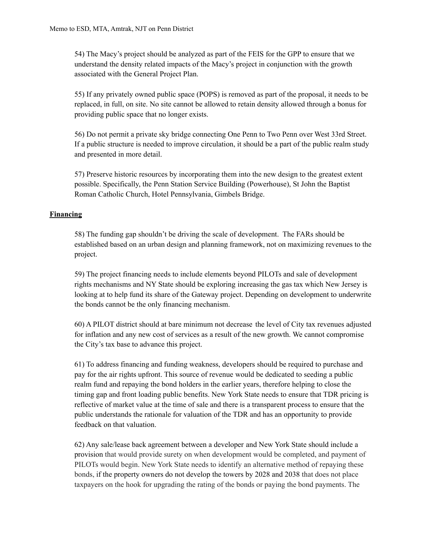54) The Macy's project should be analyzed as part of the FEIS for the GPP to ensure that we understand the density related impacts of the Macy's project in conjunction with the growth associated with the General Project Plan.

55) If any privately owned public space (POPS) is removed as part of the proposal, it needs to be replaced, in full, on site. No site cannot be allowed to retain density allowed through a bonus for providing public space that no longer exists.

56) Do not permit a private sky bridge connecting One Penn to Two Penn over West 33rd Street. If a public structure is needed to improve circulation, it should be a part of the public realm study and presented in more detail.

57) Preserve historic resources by incorporating them into the new design to the greatest extent possible. Specifically, the Penn Station Service Building (Powerhouse), St John the Baptist Roman Catholic Church, Hotel Pennsylvania, Gimbels Bridge.

# **Financing**

58) The funding gap shouldn't be driving the scale of development. The FARs should be established based on an urban design and planning framework, not on maximizing revenues to the project.

59) The project financing needs to include elements beyond PILOTs and sale of development rights mechanisms and NY State should be exploring increasing the gas tax which New Jersey is looking at to help fund its share of the Gateway project. Depending on development to underwrite the bonds cannot be the only financing mechanism.

60) A PILOT district should at bare minimum not decrease the level of City tax revenues adjusted for inflation and any new cost of services as a result of the new growth. We cannot compromise the City's tax base to advance this project.

61) To address financing and funding weakness, developers should be required to purchase and pay for the air rights upfront. This source of revenue would be dedicated to seeding a public realm fund and repaying the bond holders in the earlier years, therefore helping to close the timing gap and front loading public benefits. New York State needs to ensure that TDR pricing is reflective of market value at the time of sale and there is a transparent process to ensure that the public understands the rationale for valuation of the TDR and has an opportunity to provide feedback on that valuation.

62) Any sale/lease back agreement between a developer and New York State should include a provision that would provide surety on when development would be completed, and payment of PILOTs would begin. New York State needs to identify an alternative method of repaying these bonds, if the property owners do not develop the towers by 2028 and 2038 that does not place taxpayers on the hook for upgrading the rating of the bonds or paying the bond payments. The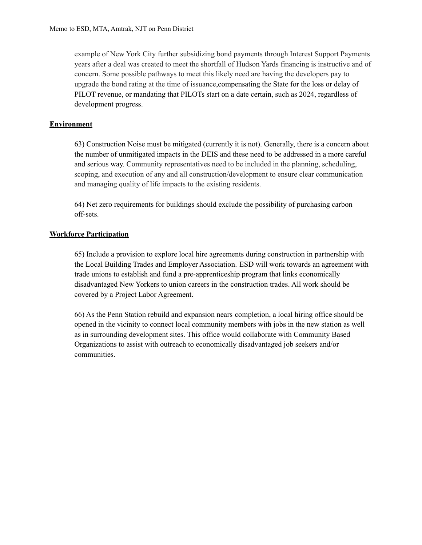example of New York City further subsidizing bond payments through Interest Support Payments years after a deal was created to meet the shortfall of Hudson Yards financing is instructive and of concern. Some possible pathways to meet this likely need are having the developers pay to upgrade the bond rating at the time of issuance,compensating the State for the loss or delay of PILOT revenue, or mandating that PILOTs start on a date certain, such as 2024, regardless of development progress.

### **Environment**

63) Construction Noise must be mitigated (currently it is not). Generally, there is a concern about the number of unmitigated impacts in the DEIS and these need to be addressed in a more careful and serious way. Community representatives need to be included in the planning, scheduling, scoping, and execution of any and all construction/development to ensure clear communication and managing quality of life impacts to the existing residents.

64) Net zero requirements for buildings should exclude the possibility of purchasing carbon off-sets.

### **Workforce Participation**

65) Include a provision to explore local hire agreements during construction in partnership with the Local Building Trades and Employer Association. ESD will work towards an agreement with trade unions to establish and fund a pre-apprenticeship program that links economically disadvantaged New Yorkers to union careers in the construction trades. All work should be covered by a Project Labor Agreement.

66) As the Penn Station rebuild and expansion nears completion, a local hiring office should be opened in the vicinity to connect local community members with jobs in the new station as well as in surrounding development sites. This office would collaborate with Community Based Organizations to assist with outreach to economically disadvantaged job seekers and/or communities.